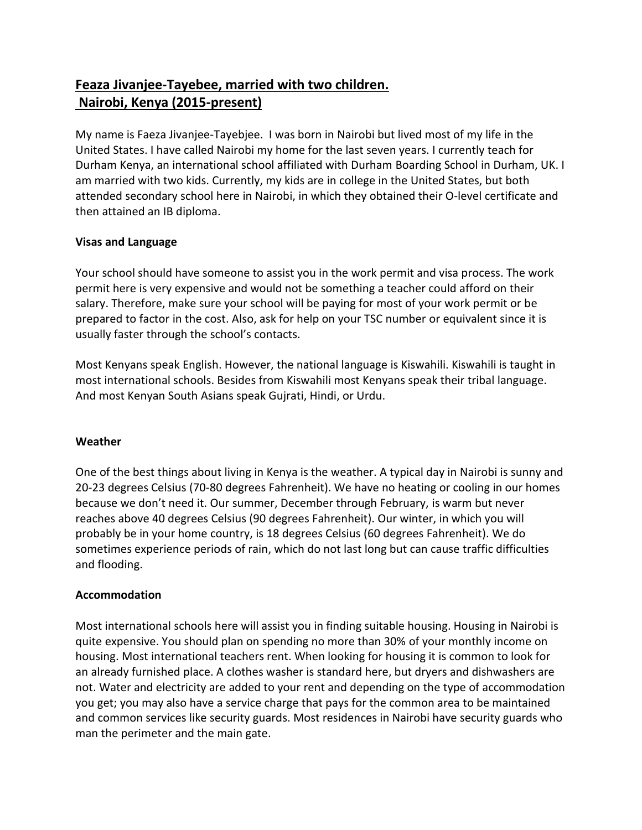# **Feaza Jivanjee-Tayebee, married with two children. Nairobi, Kenya (2015-present)**

My name is Faeza Jivanjee-Tayebjee. I was born in Nairobi but lived most of my life in the United States. I have called Nairobi my home for the last seven years. I currently teach for Durham Kenya, an international school affiliated with Durham Boarding School in Durham, UK. I am married with two kids. Currently, my kids are in college in the United States, but both attended secondary school here in Nairobi, in which they obtained their O-level certificate and then attained an IB diploma.

## **Visas and Language**

Your school should have someone to assist you in the work permit and visa process. The work permit here is very expensive and would not be something a teacher could afford on their salary. Therefore, make sure your school will be paying for most of your work permit or be prepared to factor in the cost. Also, ask for help on your TSC number or equivalent since it is usually faster through the school's contacts.

Most Kenyans speak English. However, the national language is Kiswahili. Kiswahili is taught in most international schools. Besides from Kiswahili most Kenyans speak their tribal language. And most Kenyan South Asians speak Gujrati, Hindi, or Urdu.

## **Weather**

One of the best things about living in Kenya is the weather. A typical day in Nairobi is sunny and 20-23 degrees Celsius (70-80 degrees Fahrenheit). We have no heating or cooling in our homes because we don't need it. Our summer, December through February, is warm but never reaches above 40 degrees Celsius (90 degrees Fahrenheit). Our winter, in which you will probably be in your home country, is 18 degrees Celsius (60 degrees Fahrenheit). We do sometimes experience periods of rain, which do not last long but can cause traffic difficulties and flooding.

## **Accommodation**

Most international schools here will assist you in finding suitable housing. Housing in Nairobi is quite expensive. You should plan on spending no more than 30% of your monthly income on housing. Most international teachers rent. When looking for housing it is common to look for an already furnished place. A clothes washer is standard here, but dryers and dishwashers are not. Water and electricity are added to your rent and depending on the type of accommodation you get; you may also have a service charge that pays for the common area to be maintained and common services like security guards. Most residences in Nairobi have security guards who man the perimeter and the main gate.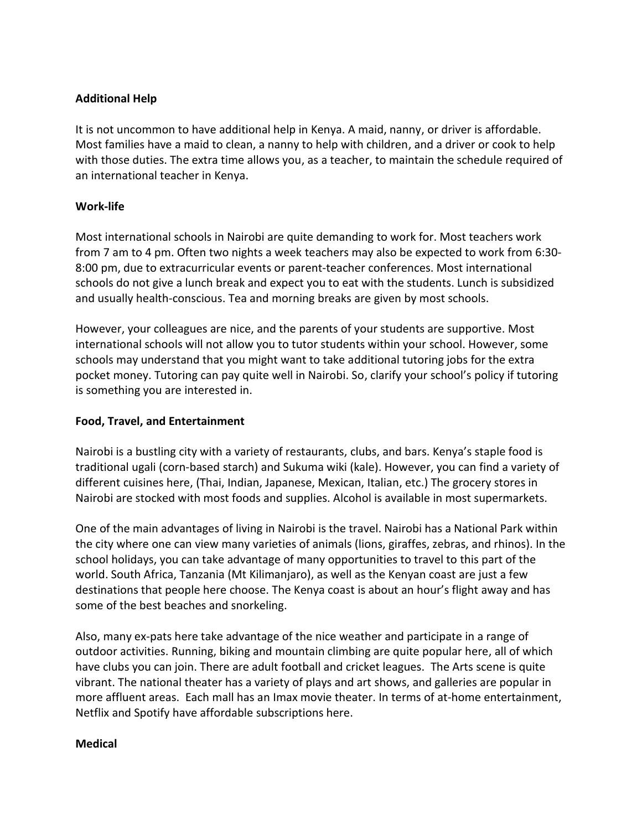#### **Additional Help**

It is not uncommon to have additional help in Kenya. A maid, nanny, or driver is affordable. Most families have a maid to clean, a nanny to help with children, and a driver or cook to help with those duties. The extra time allows you, as a teacher, to maintain the schedule required of an international teacher in Kenya.

#### **Work-life**

Most international schools in Nairobi are quite demanding to work for. Most teachers work from 7 am to 4 pm. Often two nights a week teachers may also be expected to work from 6:30- 8:00 pm, due to extracurricular events or parent-teacher conferences. Most international schools do not give a lunch break and expect you to eat with the students. Lunch is subsidized and usually health-conscious. Tea and morning breaks are given by most schools.

However, your colleagues are nice, and the parents of your students are supportive. Most international schools will not allow you to tutor students within your school. However, some schools may understand that you might want to take additional tutoring jobs for the extra pocket money. Tutoring can pay quite well in Nairobi. So, clarify your school's policy if tutoring is something you are interested in.

#### **Food, Travel, and Entertainment**

Nairobi is a bustling city with a variety of restaurants, clubs, and bars. Kenya's staple food is traditional ugali (corn-based starch) and Sukuma wiki (kale). However, you can find a variety of different cuisines here, (Thai, Indian, Japanese, Mexican, Italian, etc.) The grocery stores in Nairobi are stocked with most foods and supplies. Alcohol is available in most supermarkets.

One of the main advantages of living in Nairobi is the travel. Nairobi has a National Park within the city where one can view many varieties of animals (lions, giraffes, zebras, and rhinos). In the school holidays, you can take advantage of many opportunities to travel to this part of the world. South Africa, Tanzania (Mt Kilimanjaro), as well as the Kenyan coast are just a few destinations that people here choose. The Kenya coast is about an hour's flight away and has some of the best beaches and snorkeling.

Also, many ex-pats here take advantage of the nice weather and participate in a range of outdoor activities. Running, biking and mountain climbing are quite popular here, all of which have clubs you can join. There are adult football and cricket leagues. The Arts scene is quite vibrant. The national theater has a variety of plays and art shows, and galleries are popular in more affluent areas. Each mall has an Imax movie theater. In terms of at-home entertainment, Netflix and Spotify have affordable subscriptions here.

#### **Medical**